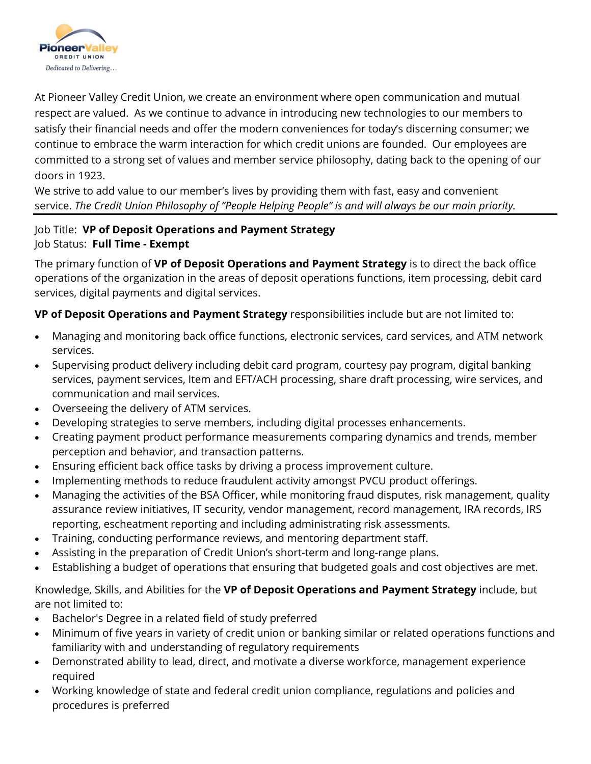

At Pioneer Valley Credit Union, we create an environment where open communication and mutual respect are valued. As we continue to advance in introducing new technologies to our members to satisfy their financial needs and offer the modern conveniences for today's discerning consumer; we continue to embrace the warm interaction for which credit unions are founded. Our employees are committed to a strong set of values and member service philosophy, dating back to the opening of our doors in 1923.

We strive to add value to our member's lives by providing them with fast, easy and convenient service. *The Credit Union Philosophy of "People Helping People" is and will always be our main priority.*

## Job Title: **VP of Deposit Operations and Payment Strategy** Job Status: **Full Time - Exempt**

The primary function of **VP of Deposit Operations and Payment Strategy** is to direct the back office operations of the organization in the areas of deposit operations functions, item processing, debit card services, digital payments and digital services.

**VP of Deposit Operations and Payment Strategy** responsibilities include but are not limited to:

- Managing and monitoring back office functions, electronic services, card services, and ATM network services.
- Supervising product delivery including debit card program, courtesy pay program, digital banking services, payment services, Item and EFT/ACH processing, share draft processing, wire services, and communication and mail services.
- Overseeing the delivery of ATM services.
- Developing strategies to serve members, including digital processes enhancements.
- Creating payment product performance measurements comparing dynamics and trends, member perception and behavior, and transaction patterns.
- Ensuring efficient back office tasks by driving a process improvement culture.
- Implementing methods to reduce fraudulent activity amongst PVCU product offerings.
- Managing the activities of the BSA Officer, while monitoring fraud disputes, risk management, quality assurance review initiatives, IT security, vendor management, record management, IRA records, IRS reporting, escheatment reporting and including administrating risk assessments.
- Training, conducting performance reviews, and mentoring department staff.
- Assisting in the preparation of Credit Union's short-term and long-range plans.
- Establishing a budget of operations that ensuring that budgeted goals and cost objectives are met.

Knowledge, Skills, and Abilities for the **VP of Deposit Operations and Payment Strategy** include, but are not limited to:

- Bachelor's Degree in a related field of study preferred
- Minimum of five years in variety of credit union or banking similar or related operations functions and familiarity with and understanding of regulatory requirements
- Demonstrated ability to lead, direct, and motivate a diverse workforce, management experience required
- Working knowledge of state and federal credit union compliance, regulations and policies and procedures is preferred